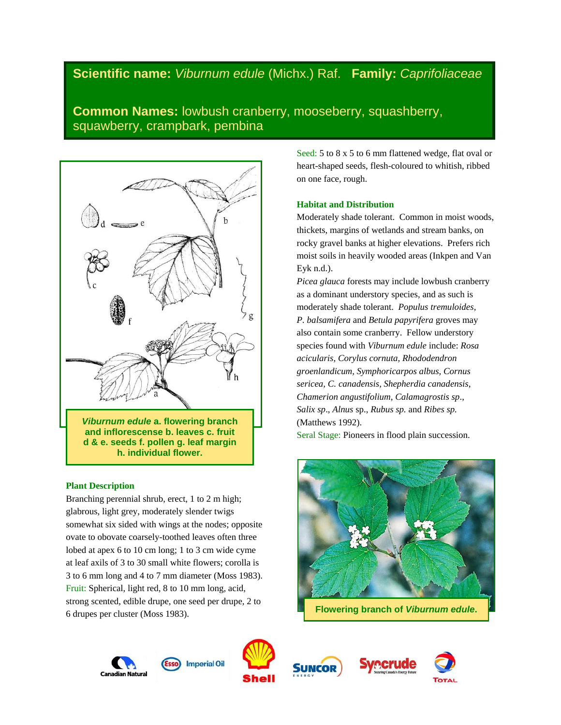# **Scientific name:** *Viburnum edule* (Michx.) Raf. **Family:** *Caprifoliaceae*

**Common Names:** lowbush cranberry, mooseberry, squashberry, squawberry, crampbark, pembina



**h. individual flower.**

# **Plant Description**

Branching perennial shrub, erect, 1 to 2 m high; glabrous, light grey, moderately slender twigs somewhat six sided with wings at the nodes; opposite ovate to obovate coarsely-toothed leaves often three lobed at apex 6 to 10 cm long; 1 to 3 cm wide cyme at leaf axils of 3 to 30 small white flowers; corolla is 3 to 6 mm long and 4 to 7 mm diameter (Moss 1983). Fruit: Spherical, light red, 8 to 10 mm long, acid, strong scented, edible drupe, one seed per drupe, 2 to 6 drupes per cluster (Moss 1983).

Seed: 5 to 8 x 5 to 6 mm flattened wedge, flat oval or heart-shaped seeds, flesh-coloured to whitish, ribbed on one face, rough.

# **Habitat and Distribution**

Moderately shade tolerant. Common in moist woods, thickets, margins of wetlands and stream banks, on rocky gravel banks at higher elevations. Prefers rich moist soils in heavily wooded areas (Inkpen and Van Eyk n.d.).

*Picea glauca* forests may include lowbush cranberry as a dominant understory species, and as such is moderately shade tolerant. *Populus tremuloides, P. balsamifera* and *Betula papyrifera* groves may also contain some cranberry. Fellow understory species found with *Viburnum edule* include: *Rosa acicularis, Corylus cornuta, Rhododendron groenlandicum, Symphoricarpos albus, Cornus sericea, C. canadensis, Shepherdia canadensis, Chamerion angustifolium, Calamagrostis sp*., *Salix sp*., *Alnus* sp., *Rubus sp.* and *Ribes sp.* (Matthews 1992).

Seral Stage: Pioneers in flood plain succession.



**Flowering branch of** *Viburnum edule***.**







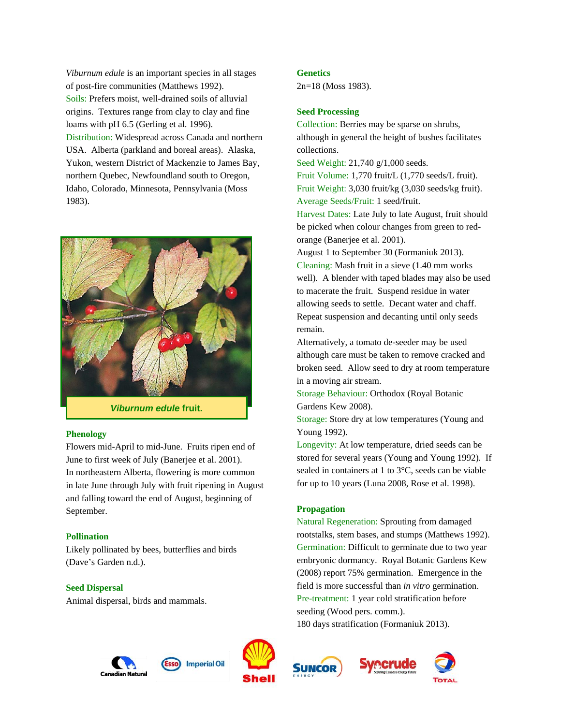*Viburnum edule* is an important species in all stages of post-fire communities (Matthews 1992). Soils: Prefers moist, well-drained soils of alluvial origins. Textures range from clay to clay and fine loams with pH 6.5 (Gerling et al. 1996). Distribution: Widespread across Canada and northern USA. Alberta (parkland and boreal areas). Alaska, Yukon, western District of Mackenzie to James Bay, northern Quebec, Newfoundland south to Oregon, Idaho, Colorado, Minnesota, Pennsylvania (Moss 1983).



*Viburnum edule* **fruit.**

## **Phenology**

Flowers mid-April to mid-June. Fruits ripen end of June to first week of July (Banerjee et al. 2001). In northeastern Alberta, flowering is more common in late June through July with fruit ripening in August and falling toward the end of August, beginning of September.

#### **Pollination**

Likely pollinated by bees, butterflies and birds (Dave's Garden n.d.).

# **Seed Dispersal**

Animal dispersal, birds and mammals.

#### **Genetics**

2n=18 (Moss 1983).

# **Seed Processing**

Collection: Berries may be sparse on shrubs, although in general the height of bushes facilitates collections.

Seed Weight: 21,740 g/1,000 seeds.

Fruit Volume: 1,770 fruit/L (1,770 seeds/L fruit). Fruit Weight: 3,030 fruit/kg (3,030 seeds/kg fruit). Average Seeds/Fruit: 1 seed/fruit.

Harvest Dates: Late July to late August, fruit should be picked when colour changes from green to redorange (Banerjee et al. 2001).

August 1 to September 30 (Formaniuk 2013).

Cleaning: Mash fruit in a sieve (1.40 mm works well). A blender with taped blades may also be used to macerate the fruit. Suspend residue in water allowing seeds to settle. Decant water and chaff. Repeat suspension and decanting until only seeds remain.

Alternatively, a tomato de-seeder may be used although care must be taken to remove cracked and broken seed. Allow seed to dry at room temperature in a moving air stream.

Storage Behaviour: Orthodox (Royal Botanic Gardens Kew 2008).

Storage: Store dry at low temperatures (Young and Young 1992).

Longevity: At low temperature, dried seeds can be stored for several years (Young and Young 1992). If sealed in containers at 1 to 3°C, seeds can be viable for up to 10 years (Luna 2008, Rose et al. 1998).

#### **Propagation**

Natural Regeneration: Sprouting from damaged rootstalks, stem bases, and stumps (Matthews 1992). Germination: Difficult to germinate due to two year embryonic dormancy. Royal Botanic Gardens Kew (2008) report 75% germination. Emergence in the field is more successful than *in vitro* germination. Pre-treatment: 1 year cold stratification before seeding (Wood pers. comm.). 180 days stratification (Formaniuk 2013).

**Imperial Oil** Canadian Natura





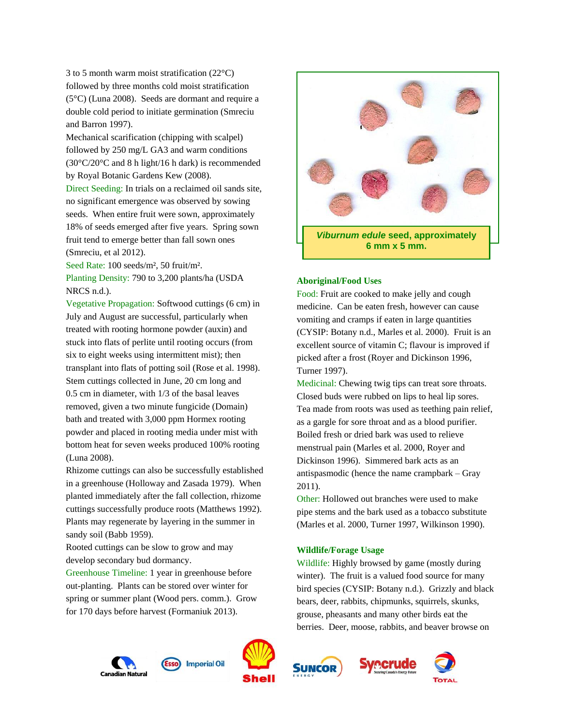3 to 5 month warm moist stratification (22°C) followed by three months cold moist stratification (5°C) (Luna 2008). Seeds are dormant and require a double cold period to initiate germination (Smreciu and Barron 1997).

Mechanical scarification (chipping with scalpel) followed by 250 mg/L GA3 and warm conditions (30°C/20°C and 8 h light/16 h dark) is recommended by Royal Botanic Gardens Kew (2008).

Direct Seeding: In trials on a reclaimed oil sands site, no significant emergence was observed by sowing seeds. When entire fruit were sown, approximately 18% of seeds emerged after five years. Spring sown fruit tend to emerge better than fall sown ones (Smreciu, et al 2012).

Seed Rate: 100 seeds/m², 50 fruit/m².

Planting Density: 790 to 3,200 plants/ha (USDA NRCS n.d.).

Vegetative Propagation: Softwood cuttings (6 cm) in July and August are successful, particularly when treated with rooting hormone powder (auxin) and stuck into flats of perlite until rooting occurs (from six to eight weeks using intermittent mist); then transplant into flats of potting soil (Rose et al. 1998). Stem cuttings collected in June, 20 cm long and 0.5 cm in diameter, with 1/3 of the basal leaves removed, given a two minute fungicide (Domain) bath and treated with 3,000 ppm Hormex rooting powder and placed in rooting media under mist with bottom heat for seven weeks produced 100% rooting (Luna 2008).

Rhizome cuttings can also be successfully established in a greenhouse (Holloway and Zasada 1979). When planted immediately after the fall collection, rhizome cuttings successfully produce roots (Matthews 1992). Plants may regenerate by layering in the summer in sandy soil (Babb 1959).

Rooted cuttings can be slow to grow and may develop secondary bud dormancy.

Greenhouse Timeline: 1 year in greenhouse before out-planting. Plants can be stored over winter for spring or summer plant (Wood pers. comm.). Grow for 170 days before harvest (Formaniuk 2013).



## **Aboriginal/Food Uses**

Food: Fruit are cooked to make jelly and cough medicine. Can be eaten fresh, however can cause vomiting and cramps if eaten in large quantities (CYSIP: Botany n.d., Marles et al. 2000). Fruit is an excellent source of vitamin C; flavour is improved if picked after a frost (Royer and Dickinson 1996, Turner 1997).

Medicinal: Chewing twig tips can treat sore throats. Closed buds were rubbed on lips to heal lip sores. Tea made from roots was used as teething pain relief, as a gargle for sore throat and as a blood purifier. Boiled fresh or dried bark was used to relieve menstrual pain (Marles et al. 2000, Royer and Dickinson 1996). Simmered bark acts as an antispasmodic (hence the name crampbark – Gray 2011).

Other: Hollowed out branches were used to make pipe stems and the bark used as a tobacco substitute (Marles et al. 2000, Turner 1997, Wilkinson 1990).

## **Wildlife/Forage Usage**

Wildlife: Highly browsed by game (mostly during winter). The fruit is a valued food source for many bird species (CYSIP: Botany n.d.). Grizzly and black bears, deer, rabbits, chipmunks, squirrels, skunks, grouse, pheasants and many other birds eat the berries. Deer, moose, rabbits, and beaver browse on









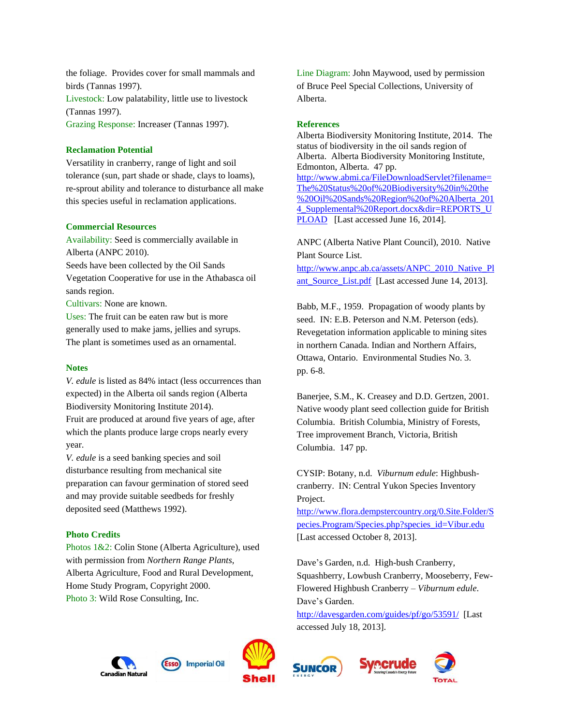the foliage. Provides cover for small mammals and birds (Tannas 1997). Livestock: Low palatability, little use to livestock (Tannas 1997). Grazing Response: Increaser (Tannas 1997).

## **Reclamation Potential**

Versatility in cranberry, range of light and soil tolerance (sun, part shade or shade, clays to loams), re-sprout ability and tolerance to disturbance all make this species useful in reclamation applications.

#### **Commercial Resources**

Availability: Seed is commercially available in Alberta (ANPC 2010).

Seeds have been collected by the Oil Sands

Vegetation Cooperative for use in the Athabasca oil sands region.

Cultivars: None are known.

Uses: The fruit can be eaten raw but is more generally used to make jams, jellies and syrups. The plant is sometimes used as an ornamental.

## **Notes**

*V. edule* is listed as 84% intact (less occurrences than expected) in the Alberta oil sands region (Alberta Biodiversity Monitoring Institute 2014). Fruit are produced at around five years of age, after which the plants produce large crops nearly every year.

*V. edule* is a seed banking species and soil disturbance resulting from mechanical site preparation can favour germination of stored seed and may provide suitable seedbeds for freshly deposited seed (Matthews 1992).

# **Photo Credits**

Photos 1&2: Colin Stone (Alberta Agriculture), used with permission from *Northern Range Plants*, Alberta Agriculture, Food and Rural Development, Home Study Program, Copyright 2000. Photo 3: Wild Rose Consulting, Inc.

Line Diagram: John Maywood, used by permission of Bruce Peel Special Collections, University of Alberta.

#### **References**

Alberta Biodiversity Monitoring Institute, 2014. The status of biodiversity in the oil sands region of Alberta. Alberta Biodiversity Monitoring Institute, Edmonton, Alberta. 47 pp. [http://www.abmi.ca/FileDownloadServlet?filename=](http://www.abmi.ca/FileDownloadServlet?filename=The%20Status%20of%20Biodiversity%20in%20the%20Oil%20Sands%20Region%20of%20Alberta_2014_Supplemental%20Report.docx&dir=REPORTS_UPLOAD) [The%20Status%20of%20Biodiversity%20in%20the](http://www.abmi.ca/FileDownloadServlet?filename=The%20Status%20of%20Biodiversity%20in%20the%20Oil%20Sands%20Region%20of%20Alberta_2014_Supplemental%20Report.docx&dir=REPORTS_UPLOAD) [%20Oil%20Sands%20Region%20of%20Alberta\\_201](http://www.abmi.ca/FileDownloadServlet?filename=The%20Status%20of%20Biodiversity%20in%20the%20Oil%20Sands%20Region%20of%20Alberta_2014_Supplemental%20Report.docx&dir=REPORTS_UPLOAD) 4 Supplemental%20Report.docx&dir=REPORTS\_U [PLOAD](http://www.abmi.ca/FileDownloadServlet?filename=The%20Status%20of%20Biodiversity%20in%20the%20Oil%20Sands%20Region%20of%20Alberta_2014_Supplemental%20Report.docx&dir=REPORTS_UPLOAD) [Last accessed June 16, 2014].

ANPC (Alberta Native Plant Council), 2010. Native Plant Source List.

[http://www.anpc.ab.ca/assets/ANPC\\_2010\\_Native\\_Pl](http://www.anpc.ab.ca/assets/ANPC_2010_Native_Plant_Source_List.pdf) [ant\\_Source\\_List.pdf](http://www.anpc.ab.ca/assets/ANPC_2010_Native_Plant_Source_List.pdf) [Last accessed June 14, 2013].

Babb, M.F., 1959. Propagation of woody plants by seed. IN: E.B. Peterson and N.M. Peterson (eds). Revegetation information applicable to mining sites in northern Canada. Indian and Northern Affairs, Ottawa, Ontario. Environmental Studies No. 3. pp. 6-8.

Banerjee, S.M., K. Creasey and D.D. Gertzen, 2001. Native woody plant seed collection guide for British Columbia. British Columbia, Ministry of Forests, Tree improvement Branch, Victoria, British Columbia. 147 pp.

CYSIP: Botany, n.d. *Viburnum edule*: Highbushcranberry. IN: Central Yukon Species Inventory Project.

[http://www.flora.dempstercountry.org/0.Site.Folder/S](http://www.flora.dempstercountry.org/0.Site.Folder/Species.Program/Species.php?species_id=Vibur.edu) [pecies.Program/Species.php?species\\_id=Vibur.edu](http://www.flora.dempstercountry.org/0.Site.Folder/Species.Program/Species.php?species_id=Vibur.edu)  [Last accessed October 8, 2013].

Dave's Garden, n.d. High-bush Cranberry, Squashberry, Lowbush Cranberry, Mooseberry, Few-Flowered Highbush Cranberry – *Viburnum edule*. Dave's Garden.

<http://davesgarden.com/guides/pf/go/53591/>[Last accessed July 18, 2013].







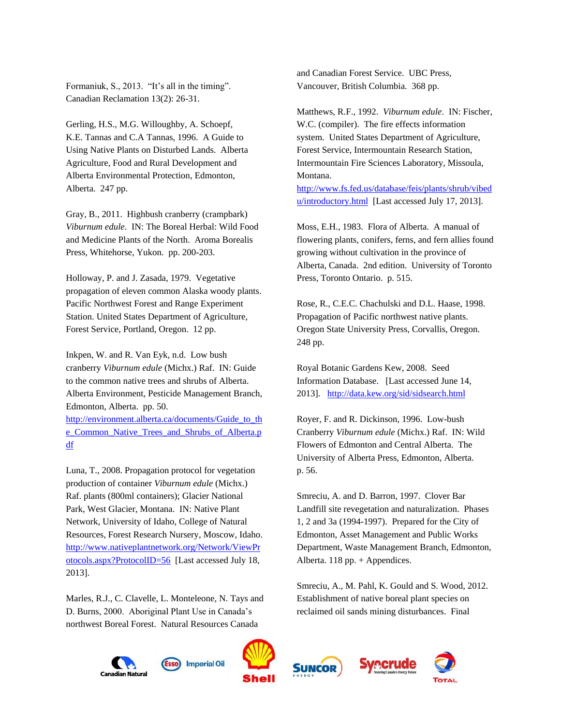Formaniuk, S., 2013. "It's all in the timing". Canadian Reclamation 13(2): 26-31.

Gerling, H.S., M.G. Willoughby, A. Schoepf, K.E. Tannas and C.A Tannas, 1996. A Guide to Using Native Plants on Disturbed Lands. Alberta Agriculture, Food and Rural Development and Alberta Environmental Protection, Edmonton, Alberta. 247 pp.

Gray, B., 2011. Highbush cranberry (crampbark) *Viburnum edule*. IN: The Boreal Herbal: Wild Food and Medicine Plants of the North. Aroma Borealis Press, Whitehorse, Yukon. pp. 200-203.

Holloway, P. and J. Zasada, 1979. Vegetative propagation of eleven common Alaska woody plants. Pacific Northwest Forest and Range Experiment Station. United States Department of Agriculture, Forest Service, Portland, Oregon. 12 pp.

Inkpen, W. and R. Van Eyk, n.d. Low bush cranberry *Viburnum edule* (Michx.) Raf. IN: Guide to the common native trees and shrubs of Alberta. Alberta Environment, Pesticide Management Branch, Edmonton, Alberta. pp. 50.

[http://environment.alberta.ca/documents/Guide\\_to\\_th](http://environment.alberta.ca/documents/Guide_to_the_Common_Native_Trees_and_Shrubs_of_Alberta.pdf) [e\\_Common\\_Native\\_Trees\\_and\\_Shrubs\\_of\\_Alberta.p](http://environment.alberta.ca/documents/Guide_to_the_Common_Native_Trees_and_Shrubs_of_Alberta.pdf) [df](http://environment.alberta.ca/documents/Guide_to_the_Common_Native_Trees_and_Shrubs_of_Alberta.pdf)

Luna, T., 2008. Propagation protocol for vegetation production of container *Viburnum edule* (Michx.) Raf. plants (800ml containers); Glacier National Park, West Glacier, Montana. IN: Native Plant Network, University of Idaho, College of Natural Resources, Forest Research Nursery, Moscow, Idaho. [http://www.nativeplantnetwork.org/Network/ViewPr](http://www.nativeplantnetwork.org/Network/ViewProtocols.aspx?ProtocolID=56) [otocols.aspx?ProtocolID=56](http://www.nativeplantnetwork.org/Network/ViewProtocols.aspx?ProtocolID=56) [Last accessed July 18, 2013].

Marles, R.J., C. Clavelle, L. Monteleone, N. Tays and D. Burns, 2000. Aboriginal Plant Use in Canada's northwest Boreal Forest. Natural Resources Canada

and Canadian Forest Service. UBC Press, Vancouver, British Columbia. 368 pp.

Matthews, R.F., 1992. *Viburnum edule*. IN: Fischer, W.C. (compiler). The fire effects information system. United States Department of Agriculture, Forest Service, Intermountain Research Station, Intermountain Fire Sciences Laboratory, Missoula, Montana.

[http://www.fs.fed.us/database/feis/plants/shrub/vibed](http://www.fs.fed.us/database/feis/plants/shrub/vibedu/introductory.html) [u/introductory.html](http://www.fs.fed.us/database/feis/plants/shrub/vibedu/introductory.html) [Last accessed July 17, 2013].

Moss, E.H., 1983. Flora of Alberta. A manual of flowering plants, conifers, ferns, and fern allies found growing without cultivation in the province of Alberta, Canada. 2nd edition. University of Toronto Press, Toronto Ontario. p. 515.

Rose, R., C.E.C. Chachulski and D.L. Haase, 1998. Propagation of Pacific northwest native plants. Oregon State University Press, Corvallis, Oregon. 248 pp.

Royal Botanic Gardens Kew, 2008. Seed Information Database. [Last accessed June 14, 2013]. <http://data.kew.org/sid/sidsearch.html>

Royer, F. and R. Dickinson, 1996. Low-bush Cranberry *Viburnum edule* (Michx.) Raf. IN: Wild Flowers of Edmonton and Central Alberta. The University of Alberta Press, Edmonton, Alberta. p. 56.

Smreciu, A. and D. Barron, 1997. Clover Bar Landfill site revegetation and naturalization. Phases 1, 2 and 3a (1994-1997). Prepared for the City of Edmonton, Asset Management and Public Works Department, Waste Management Branch, Edmonton, Alberta.  $118$  pp. + Appendices.

Smreciu, A., M. Pahl, K. Gould and S. Wood, 2012. Establishment of native boreal plant species on reclaimed oil sands mining disturbances. Final